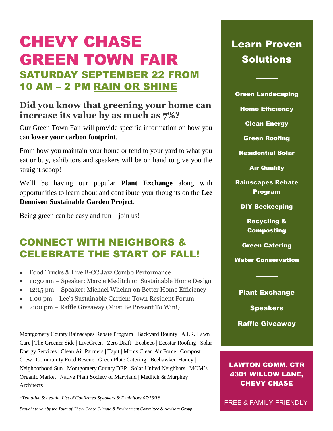# CHEVY CHASE GREEN TOWN FAIR SATURDAY SEPTEMBER 22 FROM 10 AM – 2 PM RAIN OR SHINE

## **Did you know that greening your home can increase its value by as much as 7%?**

Our Green Town Fair will provide specific information on how you can **lower your carbon footprint**.

From how you maintain your home or tend to your yard to what you eat or buy, exhibitors and speakers will be on hand to give you the straight scoop!

We'll be having our popular **Plant Exchange** along with opportunities to learn about and contribute your thoughts on the **Lee Dennison Sustainable Garden Project**.

Being green can be easy and  $fun - join$  us!

# CONNECT WITH NEIGHBORS & CELEBRATE THE START OF FALL!

- Food Trucks & Live B-CC Jazz Combo Performance
- 11:30 am Speaker: Marcie Meditch on Sustainable Home Design
- 12:15 pm Speaker: Michael Whelan on Better Home Efficiency
- 1:00 pm Lee's Sustainable Garden: Town Resident Forum
- 2:00 pm Raffle Giveaway (Must Be Present To Win!)

\_\_\_\_\_\_\_\_\_\_\_\_\_\_\_\_\_\_\_\_\_\_\_\_\_\_\_\_\_\_\_\_\_\_\_\_\_\_\_

Montgomery County Rainscapes Rebate Program | Backyard Bounty | A.I.R. Lawn Care | The Greener Side | LiveGreen | Zero Draft | Ecobeco | Ecostar Roofing | Solar Energy Services | Clean Air Partners | Tapit | Moms Clean Air Force | Compost Crew | Community Food Rescue | Green Plate Catering | Beehawken Honey | Neighborhood Sun | Montgomery County DEP | Solar United Neighbors | MOM's Organic Market | Native Plant Society of Maryland | Meditch & Murphey **Architects** 

*\*Tentative Schedule, List of Confirmed Speakers & Exhibitors 07/16/18*

*Brought to you by the Town of Chevy Chase Climate & Environment Committee & Advisory Group.*

# Learn Proven Solutions

Green Landscaping

────

Home Efficiency

Clean Energy

Green Roofing

Residential Solar

Air Quality

Rainscapes Rebate Program

DIY Beekeeping

Recycling & Composting

Green Catering

Water Conservation

────

#### Plant Exchange

**Speakers** 

Raffle Giveaway

### LAWTON COMM. CTR 4301 WILLOW LANE, **CHEVY CHASE**

FREE & FAMILY-FRIENDLY